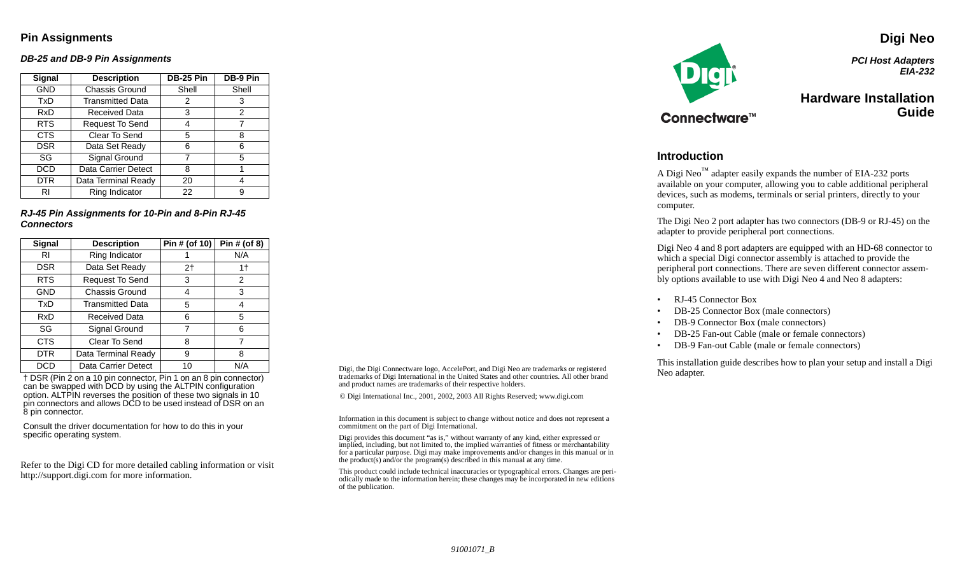### **Pin Assignments**

#### **DB-25 and DB-9 Pin Assignments**

| <b>Signal</b> | <b>Description</b>      | <b>DB-25 Pin</b> | DB-9 Pin |
|---------------|-------------------------|------------------|----------|
| <b>GND</b>    | Chassis Ground          | Shell            | Shell    |
| TxD           | <b>Transmitted Data</b> | 2                | 3        |
| <b>RxD</b>    | Received Data           | 3                | 2        |
| <b>RTS</b>    | Request To Send         | 4                |          |
| <b>CTS</b>    | Clear To Send           | 5                | 8        |
| <b>DSR</b>    | Data Set Ready          | 6                | ิธ       |
| SG            | Signal Ground           | 7                | 5        |
| <b>DCD</b>    | Data Carrier Detect     | 8                |          |
| <b>DTR</b>    | Data Terminal Ready     | 20               | 4        |
| RI            | Ring Indicator          | 22               | 9        |

**RJ-45 Pin Assignments for 10-Pin and 8-Pin RJ-45 Connectors**

| Signal     | <b>Description</b>      | Pin # (of 10) | Pin # (of 8) |
|------------|-------------------------|---------------|--------------|
| RI         | Ring Indicator          |               | N/A          |
| <b>DSR</b> | Data Set Ready          | 2†            | 1†           |
| <b>RTS</b> | Request To Send         | 3             | 2            |
| <b>GND</b> | Chassis Ground          | 4             | 3            |
| TxD        | <b>Transmitted Data</b> | 5             | 4            |
| RxD        | Received Data           | 6             | 5            |
| SG         | Signal Ground           | 7             | 6            |
| <b>CTS</b> | Clear To Send           | 8             | 7            |
| <b>DTR</b> | Data Terminal Ready     | 9             | 8            |
| DCD        | Data Carrier Detect     | 10            | N/A          |

 † DSR (Pin 2 on a 10 pin connector, Pin 1 on an 8 pin connector) can be swapped with DCD by using the ALTPIN configuration option. ALTPIN reverses the position of these two signals in 10 pin connectors and allows DCD to be used instead of DSR on an 8 pin connector.

Consult the driver documentation for how to do this in your specific operating system.

Refer to the Digi CD for more detailed cabling information or visit http://support.digi.com for more information.

Digi, the Digi Connectware logo, AccelePort, and Digi Neo are trademarks or registered trademarks of Digi International in the United States and other countries. All other brand and product names are trademarks of their respective holders.

© Digi International Inc., 2001, 2002, 2003 All Rights Reserved; www.digi.com

Information in this document is subject to change without notice and does not represent a commitment on the part of Digi International.

Digi provides this document "as is," without warranty of any kind, either expressed or implied, including, but not limited to, the implied warranties of fitness or merchantability for a particular purpose. Digi may make improvements and/or changes in this manual or in the product(s) and/or the program(s) described in this manual at any time.

This product could include technical inaccuracies or typographical errors. Changes are periodically made to the information herein; these changes may be incorporated in new editions of the publication.



**Digi Neo PCI Host Adapters EIA-232**

## **Hardware InstallationGuide**

#### **Introduction**

A Digi Neo<sup>™</sup> adapter easily expands the number of EIA-232 ports available on your computer, allowing you to cable additional peripheral devices, such as modems, terminals or serial printers, directly to your computer.

The Digi Neo 2 port adapter has two connectors (DB-9 or RJ-45) on the adapter to provide peripheral port connections.

Digi Neo 4 and 8 port adapters are equipped with an HD-68 connector to which a special Digi connector assembly is attached to provide the peripheral port connections. There are seven different connector assembly options available to use with Digi Neo 4 and Neo 8 adapters:

- •RJ-45 Connector Box
- •DB-25 Connector Box (male connectors)
- •DB-9 Connector Box (male connectors)
- •DB-25 Fan-out Cable (male or female connectors)
- •DB-9 Fan-out Cable (male or female connectors)

This installation guide describes how to plan your setup and install a Digi Neo adapter.